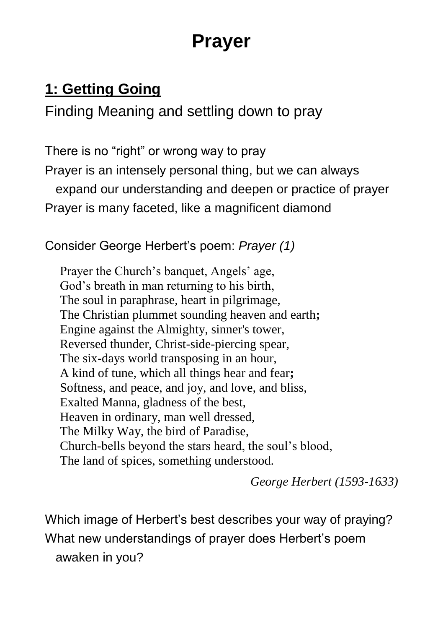# **Prayer**

# **1: Getting Going**

Finding Meaning and settling down to pray

There is no "right" or wrong way to pray Prayer is an intensely personal thing, but we can always expand our understanding and deepen or practice of prayer Prayer is many faceted, like a magnificent diamond

Consider George Herbert's poem: *Prayer (1)*

Prayer the Church's banquet, Angels' age, God's breath in man returning to his birth, The soul in paraphrase, heart in pilgrimage, The Christian plummet sounding heaven and earth**;** Engine against the Almighty, sinner's tower, Reversed thunder, Christ-side-piercing spear, The six-days world transposing in an hour, A kind of tune, which all things hear and fear**;** Softness, and peace, and joy, and love, and bliss, Exalted Manna, gladness of the best, Heaven in ordinary, man well dressed, The Milky Way, the bird of Paradise, Church-bells beyond the stars heard, the soul's blood, The land of spices, something understood.

*George Herbert (1593-1633)*

Which image of Herbert's best describes your way of praying? What new understandings of prayer does Herbert's poem awaken in you?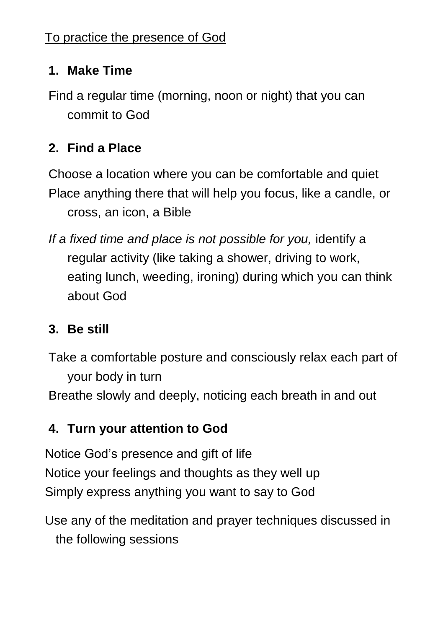#### **1. Make Time**

Find a regular time (morning, noon or night) that you can commit to God

#### **2. Find a Place**

Choose a location where you can be comfortable and quiet Place anything there that will help you focus, like a candle, or cross, an icon, a Bible

*If a fixed time and place is not possible for you,* identify a regular activity (like taking a shower, driving to work, eating lunch, weeding, ironing) during which you can think about God

#### **3. Be still**

Take a comfortable posture and consciously relax each part of your body in turn Breathe slowly and deeply, noticing each breath in and out

#### **4. Turn your attention to God**

Notice God's presence and gift of life Notice your feelings and thoughts as they well up Simply express anything you want to say to God

Use any of the meditation and prayer techniques discussed in the following sessions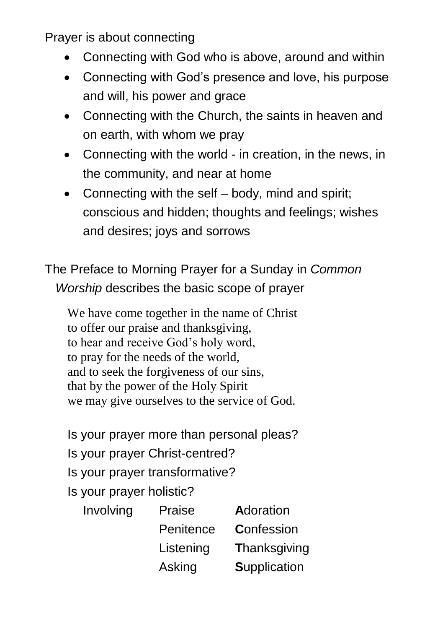Prayer is about connecting

- Connecting with God who is above, around and within
- Connecting with God's presence and love, his purpose and will, his power and grace
- Connecting with the Church, the saints in heaven and on earth, with whom we pray
- Connecting with the world in creation, in the news, in the community, and near at home
- Connecting with the self body, mind and spirit: conscious and hidden; thoughts and feelings; wishes and desires; joys and sorrows

The Preface to Morning Prayer for a Sunday in *Common Worship* describes the basic scope of prayer

We have come together in the name of Christ to offer our praise and thanksgiving, to hear and receive God's holy word, to pray for the needs of the world, and to seek the forgiveness of our sins, that by the power of the Holy Spirit we may give ourselves to the service of God.

Is your prayer more than personal pleas? Is your prayer Christ-centred? Is your prayer transformative? Is your prayer holistic?

| Involving | Praise    | Adoration           |
|-----------|-----------|---------------------|
|           | Penitence | Confession          |
|           | Listening | Thanksgiving        |
|           | Asking    | <b>Supplication</b> |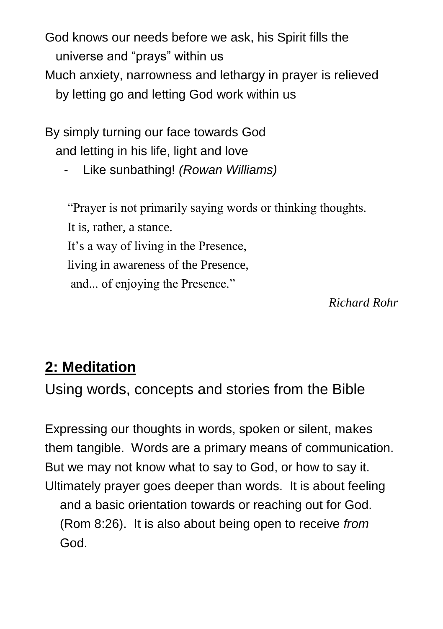God knows our needs before we ask, his Spirit fills the universe and "prays" within us Much anxiety, narrowness and lethargy in prayer is relieved by letting go and letting God work within us

By simply turning our face towards God and letting in his life, light and love

- Like sunbathing! *(Rowan Williams)*

"Prayer is not primarily saying words or thinking thoughts. It is, rather, a stance. It's a way of living in the Presence, living in awareness of the Presence, and... of enjoying the Presence."

*Richard Rohr*

### **2: Meditation**

Using words, concepts and stories from the Bible

Expressing our thoughts in words, spoken or silent, makes them tangible. Words are a primary means of communication. But we may not know what to say to God, or how to say it. Ultimately prayer goes deeper than words. It is about feeling and a basic orientation towards or reaching out for God. (Rom 8:26). It is also about being open to receive *from*  God.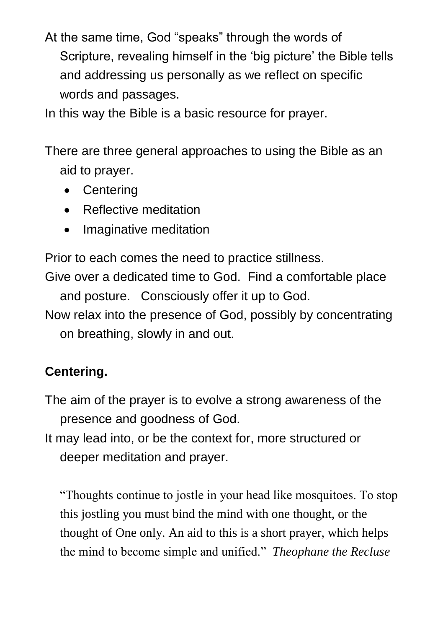At the same time, God "speaks" through the words of Scripture, revealing himself in the 'big picture' the Bible tells and addressing us personally as we reflect on specific words and passages.

In this way the Bible is a basic resource for prayer.

There are three general approaches to using the Bible as an aid to prayer.

- Centering
- Reflective meditation
- Imaginative meditation

Prior to each comes the need to practice stillness.

Give over a dedicated time to God. Find a comfortable place and posture. Consciously offer it up to God.

Now relax into the presence of God, possibly by concentrating on breathing, slowly in and out.

#### **Centering.**

The aim of the prayer is to evolve a strong awareness of the presence and goodness of God.

It may lead into, or be the context for, more structured or deeper meditation and prayer.

"Thoughts continue to jostle in your head like mosquitoes. To stop this jostling you must bind the mind with one thought, or the thought of One only. An aid to this is a short prayer, which helps the mind to become simple and unified." *Theophane the Recluse*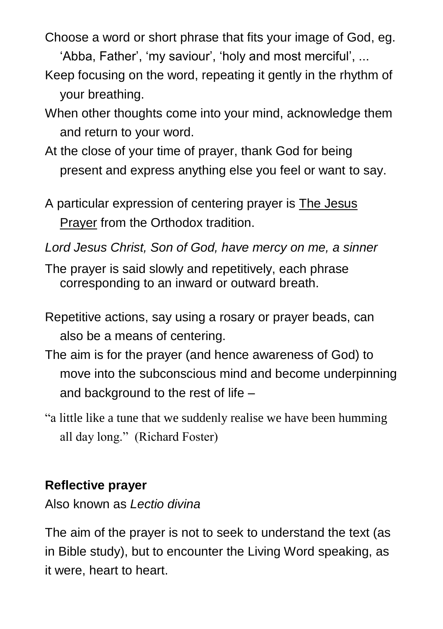Choose a word or short phrase that fits your image of God, eg.

'Abba, Father', 'my saviour', 'holy and most merciful', ...

- Keep focusing on the word, repeating it gently in the rhythm of your breathing.
- When other thoughts come into your mind, acknowledge them and return to your word.
- At the close of your time of prayer, thank God for being present and express anything else you feel or want to say.
- A particular expression of centering prayer is The Jesus Prayer from the Orthodox tradition.
- *Lord Jesus Christ, Son of God, have mercy on me, a sinner*
- The prayer is said slowly and repetitively, each phrase corresponding to an inward or outward breath.
- Repetitive actions, say using a rosary or prayer beads, can also be a means of centering.
- The aim is for the prayer (and hence awareness of God) to move into the subconscious mind and become underpinning and background to the rest of life –
- "a little like a tune that we suddenly realise we have been humming all day long." (Richard Foster)

#### **Reflective prayer**

Also known as *Lectio divina*

The aim of the prayer is not to seek to understand the text (as in Bible study), but to encounter the Living Word speaking, as it were, heart to heart.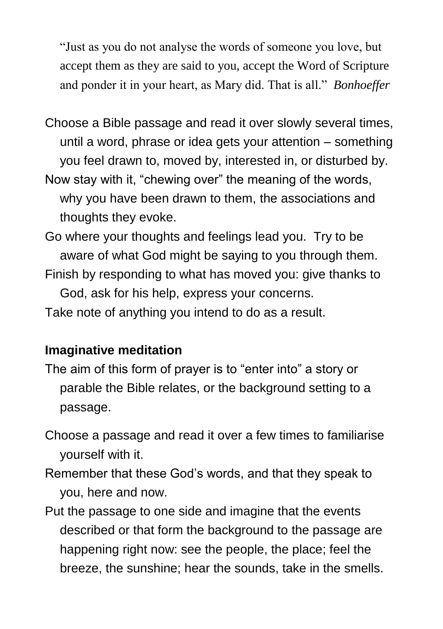"Just as you do not analyse the words of someone you love, but accept them as they are said to you, accept the Word of Scripture and ponder it in your heart, as Mary did. That is all." *Bonhoeffer*

- Choose a Bible passage and read it over slowly several times, until a word, phrase or idea gets your attention – something you feel drawn to, moved by, interested in, or disturbed by.
- Now stay with it, "chewing over" the meaning of the words, why you have been drawn to them, the associations and thoughts they evoke.
- Go where your thoughts and feelings lead you. Try to be aware of what God might be saying to you through them.
- Finish by responding to what has moved you: give thanks to God, ask for his help, express your concerns. Take note of anything you intend to do as a result.

#### **Imaginative meditation**

- The aim of this form of prayer is to "enter into" a story or parable the Bible relates, or the background setting to a passage.
- Choose a passage and read it over a few times to familiarise yourself with it.
- Remember that these God's words, and that they speak to you, here and now.
- Put the passage to one side and imagine that the events described or that form the background to the passage are happening right now: see the people, the place; feel the breeze, the sunshine; hear the sounds, take in the smells.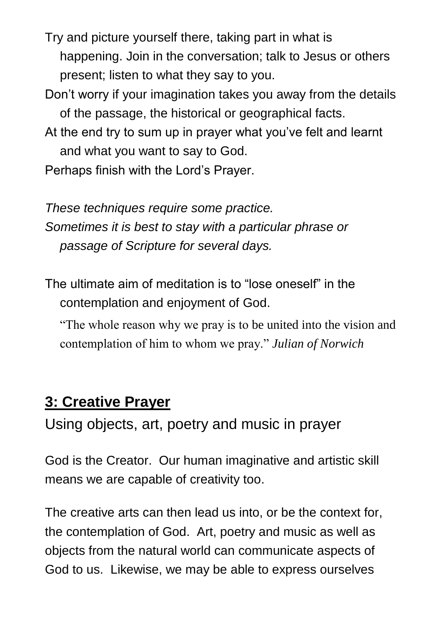Try and picture yourself there, taking part in what is happening. Join in the conversation; talk to Jesus or others present; listen to what they say to you.

- Don't worry if your imagination takes you away from the details of the passage, the historical or geographical facts.
- At the end try to sum up in prayer what you've felt and learnt and what you want to say to God.

Perhaps finish with the Lord's Prayer.

*These techniques require some practice. Sometimes it is best to stay with a particular phrase or passage of Scripture for several days.*

The ultimate aim of meditation is to "lose oneself" in the contemplation and enjoyment of God.

"The whole reason why we pray is to be united into the vision and contemplation of him to whom we pray." *Julian of Norwich*

### **3: Creative Prayer**

Using objects, art, poetry and music in prayer

God is the Creator. Our human imaginative and artistic skill means we are capable of creativity too.

The creative arts can then lead us into, or be the context for, the contemplation of God. Art, poetry and music as well as objects from the natural world can communicate aspects of God to us. Likewise, we may be able to express ourselves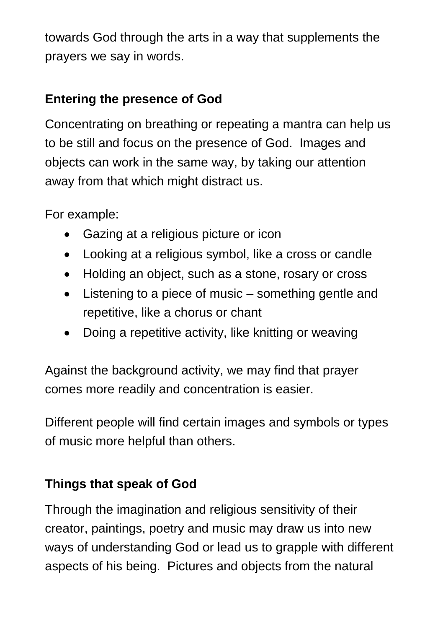towards God through the arts in a way that supplements the prayers we say in words.

#### **Entering the presence of God**

Concentrating on breathing or repeating a mantra can help us to be still and focus on the presence of God. Images and objects can work in the same way, by taking our attention away from that which might distract us.

For example:

- Gazing at a religious picture or icon
- Looking at a religious symbol, like a cross or candle
- Holding an object, such as a stone, rosary or cross
- Listening to a piece of music something gentle and repetitive, like a chorus or chant
- Doing a repetitive activity, like knitting or weaving

Against the background activity, we may find that prayer comes more readily and concentration is easier.

Different people will find certain images and symbols or types of music more helpful than others.

#### **Things that speak of God**

Through the imagination and religious sensitivity of their creator, paintings, poetry and music may draw us into new ways of understanding God or lead us to grapple with different aspects of his being. Pictures and objects from the natural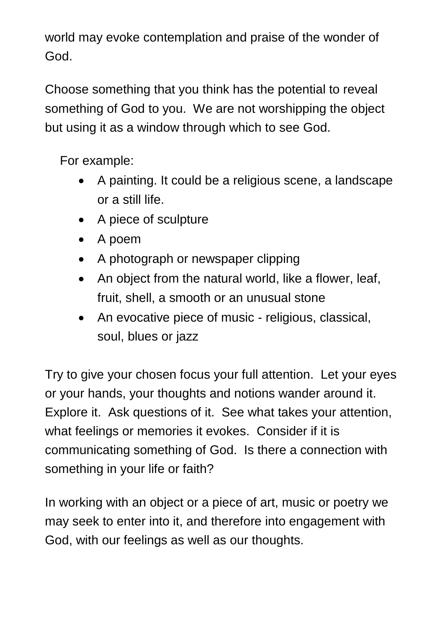world may evoke contemplation and praise of the wonder of God.

Choose something that you think has the potential to reveal something of God to you. We are not worshipping the object but using it as a window through which to see God.

For example:

- A painting. It could be a religious scene, a landscape or a still life.
- A piece of sculpture
- A poem
- A photograph or newspaper clipping
- An object from the natural world, like a flower, leaf, fruit, shell, a smooth or an unusual stone
- An evocative piece of music religious, classical, soul, blues or jazz

Try to give your chosen focus your full attention. Let your eyes or your hands, your thoughts and notions wander around it. Explore it. Ask questions of it. See what takes your attention, what feelings or memories it evokes. Consider if it is communicating something of God. Is there a connection with something in your life or faith?

In working with an object or a piece of art, music or poetry we may seek to enter into it, and therefore into engagement with God, with our feelings as well as our thoughts.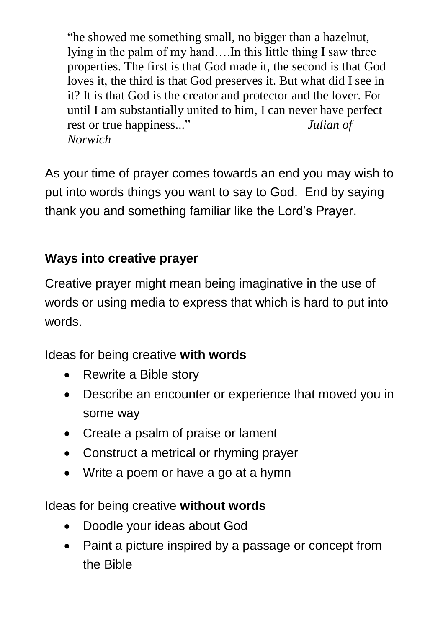"he showed me something small, no bigger than a hazelnut, lying in the palm of my hand….In this little thing I saw three properties. The first is that God made it, the second is that God loves it, the third is that God preserves it. But what did I see in it? It is that God is the creator and protector and the lover. For until I am substantially united to him, I can never have perfect rest or true happiness..." *Julian of Norwich*

As your time of prayer comes towards an end you may wish to put into words things you want to say to God. End by saying thank you and something familiar like the Lord's Prayer.

#### **Ways into creative prayer**

Creative prayer might mean being imaginative in the use of words or using media to express that which is hard to put into words.

Ideas for being creative **with words**

- Rewrite a Bible story
- Describe an encounter or experience that moved you in some way
- Create a psalm of praise or lament
- Construct a metrical or rhyming prayer
- Write a poem or have a go at a hymn

Ideas for being creative **without words**

- Doodle your ideas about God
- Paint a picture inspired by a passage or concept from the Bible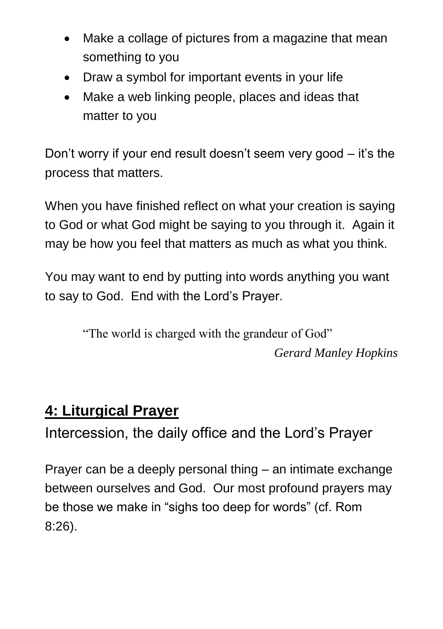- Make a collage of pictures from a magazine that mean something to you
- Draw a symbol for important events in your life
- Make a web linking people, places and ideas that matter to you

Don't worry if your end result doesn't seem very good – it's the process that matters.

When you have finished reflect on what your creation is saying to God or what God might be saying to you through it. Again it may be how you feel that matters as much as what you think.

You may want to end by putting into words anything you want to say to God. End with the Lord's Prayer.

> "The world is charged with the grandeur of God" *Gerard Manley Hopkins*

## **4: Liturgical Prayer**

Intercession, the daily office and the Lord's Prayer

Prayer can be a deeply personal thing – an intimate exchange between ourselves and God. Our most profound prayers may be those we make in "sighs too deep for words" (cf. Rom 8:26).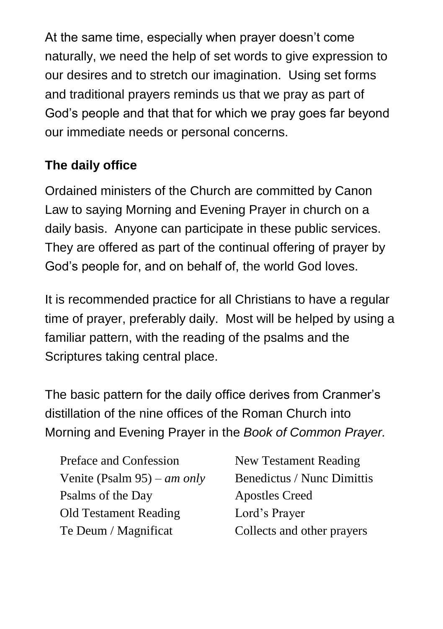At the same time, especially when prayer doesn't come naturally, we need the help of set words to give expression to our desires and to stretch our imagination. Using set forms and traditional prayers reminds us that we pray as part of God's people and that that for which we pray goes far beyond our immediate needs or personal concerns.

### **The daily office**

Ordained ministers of the Church are committed by Canon Law to saying Morning and Evening Prayer in church on a daily basis. Anyone can participate in these public services. They are offered as part of the continual offering of prayer by God's people for, and on behalf of, the world God loves.

It is recommended practice for all Christians to have a regular time of prayer, preferably daily. Most will be helped by using a familiar pattern, with the reading of the psalms and the Scriptures taking central place.

The basic pattern for the daily office derives from Cranmer's distillation of the nine offices of the Roman Church into Morning and Evening Prayer in the *Book of Common Prayer.*

Preface and Confession New Testament Reading Venite (Psalm 95) – *am only* Benedictus / Nunc Dimittis Psalms of the Day Apostles Creed Old Testament Reading Lord's Prayer Te Deum / Magnificat Collects and other prayers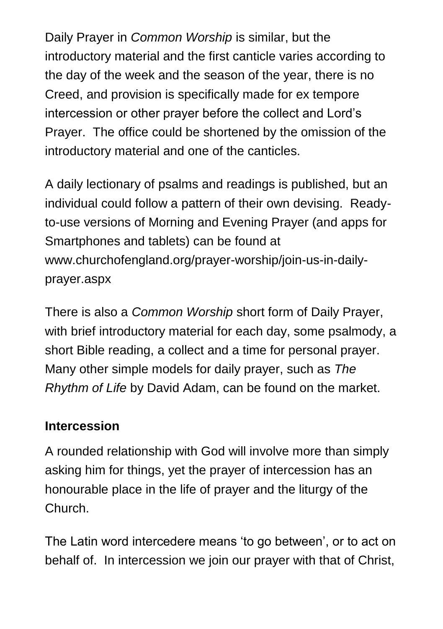Daily Prayer in *Common Worship* is similar, but the introductory material and the first canticle varies according to the day of the week and the season of the year, there is no Creed, and provision is specifically made for ex tempore intercession or other prayer before the collect and Lord's Prayer. The office could be shortened by the omission of the introductory material and one of the canticles.

A daily lectionary of psalms and readings is published, but an individual could follow a pattern of their own devising. Readyto-use versions of Morning and Evening Prayer (and apps for Smartphones and tablets) can be found at www.churchofengland.org/prayer-worship/join-us-in-dailyprayer.aspx

There is also a *Common Worship* short form of Daily Prayer, with brief introductory material for each day, some psalmody, a short Bible reading, a collect and a time for personal prayer. Many other simple models for daily prayer, such as *The Rhythm of Life* by David Adam, can be found on the market.

#### **Intercession**

A rounded relationship with God will involve more than simply asking him for things, yet the prayer of intercession has an honourable place in the life of prayer and the liturgy of the Church.

The Latin word intercedere means 'to go between', or to act on behalf of. In intercession we join our prayer with that of Christ,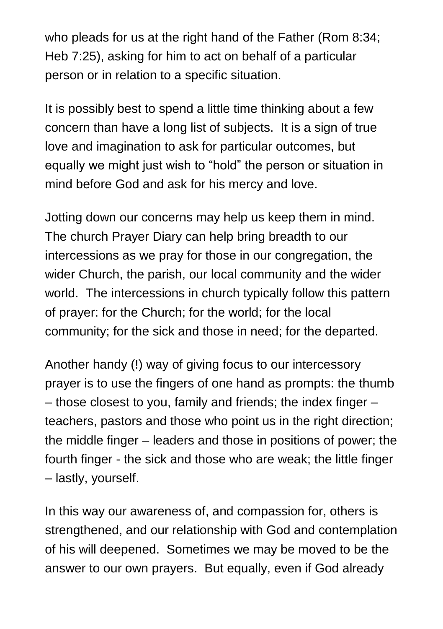who pleads for us at the right hand of the Father (Rom 8:34; Heb 7:25), asking for him to act on behalf of a particular person or in relation to a specific situation.

It is possibly best to spend a little time thinking about a few concern than have a long list of subjects. It is a sign of true love and imagination to ask for particular outcomes, but equally we might just wish to "hold" the person or situation in mind before God and ask for his mercy and love.

Jotting down our concerns may help us keep them in mind. The church Prayer Diary can help bring breadth to our intercessions as we pray for those in our congregation, the wider Church, the parish, our local community and the wider world. The intercessions in church typically follow this pattern of prayer: for the Church; for the world; for the local community; for the sick and those in need; for the departed.

Another handy (!) way of giving focus to our intercessory prayer is to use the fingers of one hand as prompts: the thumb – those closest to you, family and friends; the index finger – teachers, pastors and those who point us in the right direction; the middle finger – leaders and those in positions of power; the fourth finger - the sick and those who are weak; the little finger – lastly, yourself.

In this way our awareness of, and compassion for, others is strengthened, and our relationship with God and contemplation of his will deepened. Sometimes we may be moved to be the answer to our own prayers. But equally, even if God already